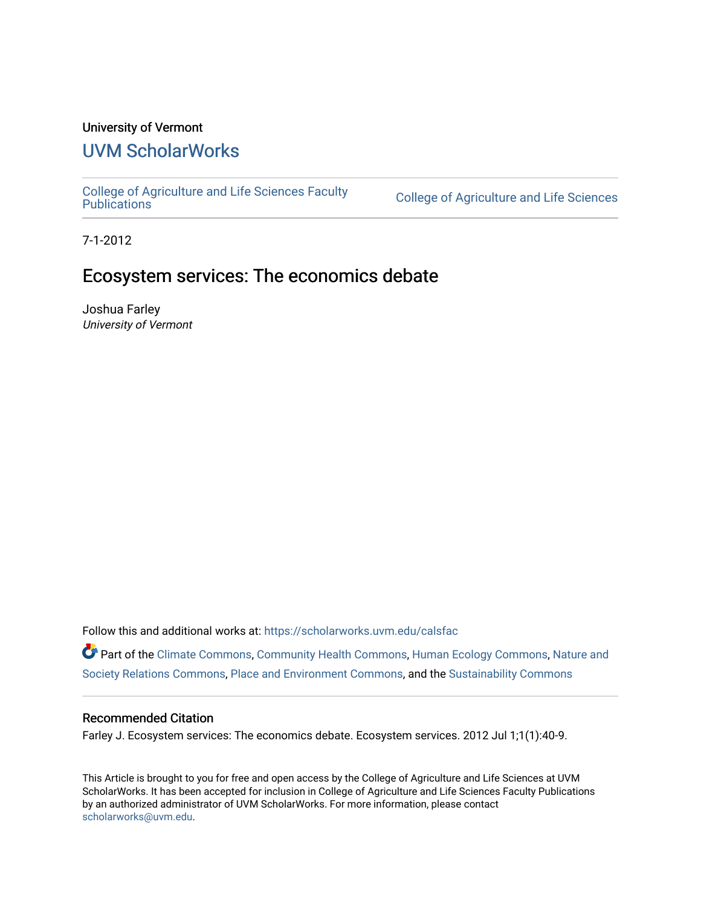# University of Vermont

# [UVM ScholarWorks](https://scholarworks.uvm.edu/)

[College of Agriculture and Life Sciences Faculty](https://scholarworks.uvm.edu/calsfac) 

College of Agriculture and Life Sciences

7-1-2012

# Ecosystem services: The economics debate

Joshua Farley University of Vermont

Follow this and additional works at: [https://scholarworks.uvm.edu/calsfac](https://scholarworks.uvm.edu/calsfac?utm_source=scholarworks.uvm.edu%2Fcalsfac%2F51&utm_medium=PDF&utm_campaign=PDFCoverPages)

Part of the [Climate Commons,](http://network.bepress.com/hgg/discipline/188?utm_source=scholarworks.uvm.edu%2Fcalsfac%2F51&utm_medium=PDF&utm_campaign=PDFCoverPages) [Community Health Commons,](http://network.bepress.com/hgg/discipline/714?utm_source=scholarworks.uvm.edu%2Fcalsfac%2F51&utm_medium=PDF&utm_campaign=PDFCoverPages) [Human Ecology Commons,](http://network.bepress.com/hgg/discipline/1335?utm_source=scholarworks.uvm.edu%2Fcalsfac%2F51&utm_medium=PDF&utm_campaign=PDFCoverPages) [Nature and](http://network.bepress.com/hgg/discipline/357?utm_source=scholarworks.uvm.edu%2Fcalsfac%2F51&utm_medium=PDF&utm_campaign=PDFCoverPages) [Society Relations Commons](http://network.bepress.com/hgg/discipline/357?utm_source=scholarworks.uvm.edu%2Fcalsfac%2F51&utm_medium=PDF&utm_campaign=PDFCoverPages), [Place and Environment Commons](http://network.bepress.com/hgg/discipline/424?utm_source=scholarworks.uvm.edu%2Fcalsfac%2F51&utm_medium=PDF&utm_campaign=PDFCoverPages), and the [Sustainability Commons](http://network.bepress.com/hgg/discipline/1031?utm_source=scholarworks.uvm.edu%2Fcalsfac%2F51&utm_medium=PDF&utm_campaign=PDFCoverPages)

# Recommended Citation

Farley J. Ecosystem services: The economics debate. Ecosystem services. 2012 Jul 1;1(1):40-9.

This Article is brought to you for free and open access by the College of Agriculture and Life Sciences at UVM ScholarWorks. It has been accepted for inclusion in College of Agriculture and Life Sciences Faculty Publications by an authorized administrator of UVM ScholarWorks. For more information, please contact [scholarworks@uvm.edu](mailto:scholarworks@uvm.edu).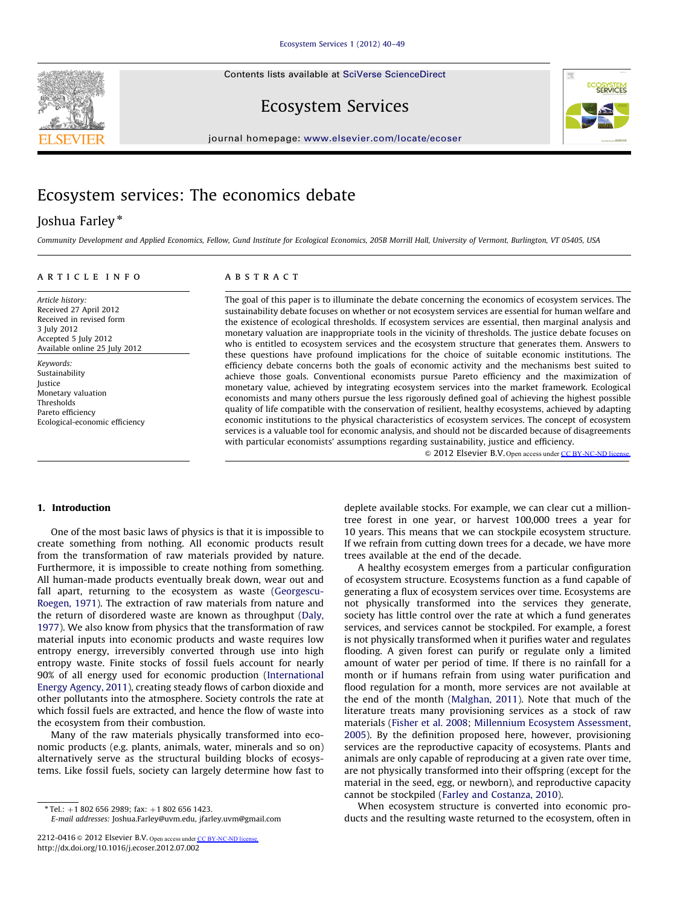Contents lists available at [SciVerse ScienceDirect](www.elsevier.com/locate/ecoser)





Ecosystem Services

#### journal homepage: <www.elsevier.com/locate/ecoser>

# Ecosystem services: The economics debate

# Joshua Farley\*

Community Development and Applied Economics, Fellow, Gund Institute for Ecological Economics, 205B Morrill Hall, University of Vermont, Burlington, VT 05405, USA

#### article info

Article history: Received 27 April 2012 Received in revised form 3 July 2012 Accepted 5 July 2012 Available online 25 July 2012

Keywords: Sustainability Justice Monetary valuation Thresholds Pareto efficiency Ecological-economic efficiency

### **ABSTRACT**

The goal of this paper is to illuminate the debate concerning the economics of ecosystem services. The sustainability debate focuses on whether or not ecosystem services are essential for human welfare and the existence of ecological thresholds. If ecosystem services are essential, then marginal analysis and monetary valuation are inappropriate tools in the vicinity of thresholds. The justice debate focuses on who is entitled to ecosystem services and the ecosystem structure that generates them. Answers to these questions have profound implications for the choice of suitable economic institutions. The efficiency debate concerns both the goals of economic activity and the mechanisms best suited to achieve those goals. Conventional economists pursue Pareto efficiency and the maximization of monetary value, achieved by integrating ecosystem services into the market framework. Ecological economists and many others pursue the less rigorously defined goal of achieving the highest possible quality of life compatible with the conservation of resilient, healthy ecosystems, achieved by adapting economic institutions to the physical characteristics of ecosystem services. The concept of ecosystem services is a valuable tool for economic analysis, and should not be discarded because of disagreements with particular economists' assumptions regarding sustainability, justice and efficiency.

 $\odot$  2012 Elsevier B.V. Open access under [CC BY-NC-ND license.](http://creativecommons.org/licenses/by-nc-nd/3.0/)

## 1. Introduction

One of the most basic laws of physics is that it is impossible to create something from nothing. All economic products result from the transformation of raw materials provided by nature. Furthermore, it is impossible to create nothing from something. All human-made products eventually break down, wear out and fall apart, returning to the ecosystem as waste ([Georgescu-](#page-9-0)[Roegen, 1971\)](#page-9-0). The extraction of raw materials from nature and the return of disordered waste are known as throughput ([Daly,](#page-9-0) [1977](#page-9-0)). We also know from physics that the transformation of raw material inputs into economic products and waste requires low entropy energy, irreversibly converted through use into high entropy waste. Finite stocks of fossil fuels account for nearly 90% of all energy used for economic production [\(International](#page-9-0) [Energy Agency, 2011](#page-9-0)), creating steady flows of carbon dioxide and other pollutants into the atmosphere. Society controls the rate at which fossil fuels are extracted, and hence the flow of waste into the ecosystem from their combustion.

Many of the raw materials physically transformed into economic products (e.g. plants, animals, water, minerals and so on) alternatively serve as the structural building blocks of ecosystems. Like fossil fuels, society can largely determine how fast to

deplete available stocks. For example, we can clear cut a milliontree forest in one year, or harvest 100,000 trees a year for 10 years. This means that we can stockpile ecosystem structure. If we refrain from cutting down trees for a decade, we have more trees available at the end of the decade.

A healthy ecosystem emerges from a particular configuration of ecosystem structure. Ecosystems function as a fund capable of generating a flux of ecosystem services over time. Ecosystems are not physically transformed into the services they generate, society has little control over the rate at which a fund generates services, and services cannot be stockpiled. For example, a forest is not physically transformed when it purifies water and regulates flooding. A given forest can purify or regulate only a limited amount of water per period of time. If there is no rainfall for a month or if humans refrain from using water purification and flood regulation for a month, more services are not available at the end of the month [\(Malghan, 2011\)](#page-10-0). Note that much of the literature treats many provisioning services as a stock of raw materials [\(Fisher et al. 2008;](#page-9-0) [Millennium Ecosystem Assessment,](#page-10-0) [2005\)](#page-10-0). By the definition proposed here, however, provisioning services are the reproductive capacity of ecosystems. Plants and animals are only capable of reproducing at a given rate over time, are not physically transformed into their offspring (except for the material in the seed, egg, or newborn), and reproductive capacity cannot be stockpiled [\(Farley and Costanza, 2010\)](#page-9-0).

When ecosystem structure is converted into economic products and the resulting waste returned to the ecosystem, often in

 $*$  Tel.: +1 802 656 2989; fax: +1 802 656 1423.

E-mail addresses: [Joshua.Farley@uvm.edu,](mailto:Joshua.Farley@uvm.edu) [jfarley.uvm@gmail.com](mailto:jfarley.uvm@gmail.com)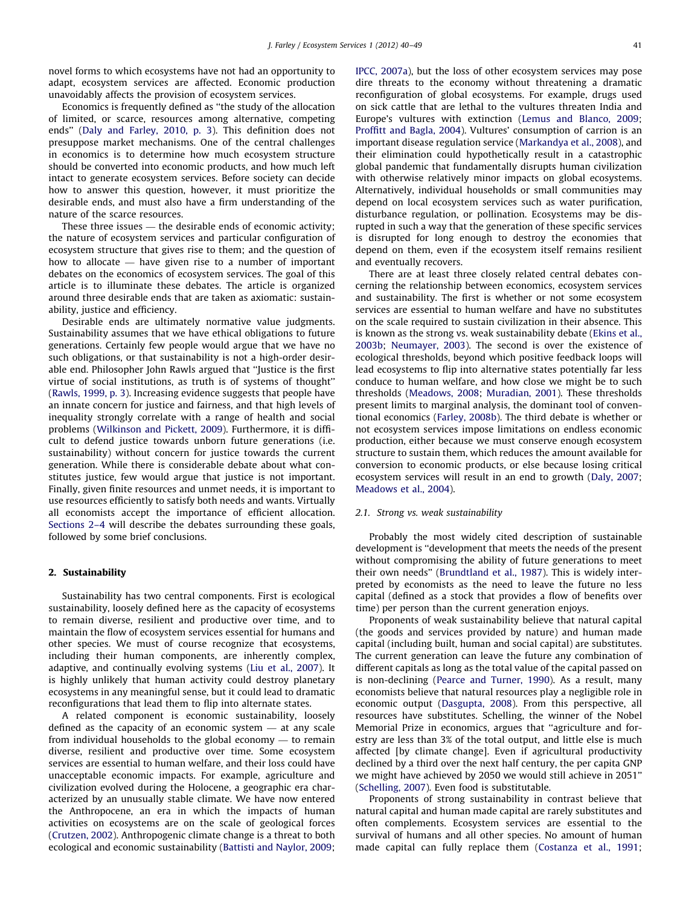<span id="page-2-0"></span>novel forms to which ecosystems have not had an opportunity to adapt, ecosystem services are affected. Economic production unavoidably affects the provision of ecosystem services.

Economics is frequently defined as ''the study of the allocation of limited, or scarce, resources among alternative, competing ends'' [\(Daly and Farley, 2010, p. 3\)](#page-9-0). This definition does not presuppose market mechanisms. One of the central challenges in economics is to determine how much ecosystem structure should be converted into economic products, and how much left intact to generate ecosystem services. Before society can decide how to answer this question, however, it must prioritize the desirable ends, and must also have a firm understanding of the nature of the scarce resources.

These three issues — the desirable ends of economic activity; the nature of ecosystem services and particular configuration of ecosystem structure that gives rise to them; and the question of how to allocate — have given rise to a number of important debates on the economics of ecosystem services. The goal of this article is to illuminate these debates. The article is organized around three desirable ends that are taken as axiomatic: sustainability, justice and efficiency.

Desirable ends are ultimately normative value judgments. Sustainability assumes that we have ethical obligations to future generations. Certainly few people would argue that we have no such obligations, or that sustainability is not a high-order desirable end. Philosopher John Rawls argued that ''Justice is the first virtue of social institutions, as truth is of systems of thought'' ([Rawls, 1999, p. 3](#page-10-0)). Increasing evidence suggests that people have an innate concern for justice and fairness, and that high levels of inequality strongly correlate with a range of health and social problems ([Wilkinson and Pickett, 2009\)](#page-10-0). Furthermore, it is difficult to defend justice towards unborn future generations (i.e. sustainability) without concern for justice towards the current generation. While there is considerable debate about what constitutes justice, few would argue that justice is not important. Finally, given finite resources and unmet needs, it is important to use resources efficiently to satisfy both needs and wants. Virtually all economists accept the importance of efficient allocation. Sections 2–4 will describe the debates surrounding these goals, followed by some brief conclusions.

#### 2. Sustainability

Sustainability has two central components. First is ecological sustainability, loosely defined here as the capacity of ecosystems to remain diverse, resilient and productive over time, and to maintain the flow of ecosystem services essential for humans and other species. We must of course recognize that ecosystems, including their human components, are inherently complex, adaptive, and continually evolving systems [\(Liu et al., 2007](#page-10-0)). It is highly unlikely that human activity could destroy planetary ecosystems in any meaningful sense, but it could lead to dramatic reconfigurations that lead them to flip into alternate states.

A related component is economic sustainability, loosely defined as the capacity of an economic system — at any scale from individual households to the global economy — to remain diverse, resilient and productive over time. Some ecosystem services are essential to human welfare, and their loss could have unacceptable economic impacts. For example, agriculture and civilization evolved during the Holocene, a geographic era characterized by an unusually stable climate. We have now entered the Anthropocene, an era in which the impacts of human activities on ecosystems are on the scale of geological forces ([Crutzen, 2002\)](#page-9-0). Anthropogenic climate change is a threat to both ecological and economic sustainability [\(Battisti and Naylor, 2009;](#page-9-0) [IPCC, 2007a](#page-9-0)), but the loss of other ecosystem services may pose dire threats to the economy without threatening a dramatic reconfiguration of global ecosystems. For example, drugs used on sick cattle that are lethal to the vultures threaten India and Europe's vultures with extinction [\(Lemus and Blanco, 2009;](#page-10-0) [Proffitt and Bagla, 2004\)](#page-10-0). Vultures' consumption of carrion is an important disease regulation service ([Markandya et al., 2008](#page-10-0)), and their elimination could hypothetically result in a catastrophic global pandemic that fundamentally disrupts human civilization with otherwise relatively minor impacts on global ecosystems. Alternatively, individual households or small communities may depend on local ecosystem services such as water purification, disturbance regulation, or pollination. Ecosystems may be disrupted in such a way that the generation of these specific services is disrupted for long enough to destroy the economies that depend on them, even if the ecosystem itself remains resilient and eventually recovers.

There are at least three closely related central debates concerning the relationship between economics, ecosystem services and sustainability. The first is whether or not some ecosystem services are essential to human welfare and have no substitutes on the scale required to sustain civilization in their absence. This is known as the strong vs. weak sustainability debate ([Ekins et al.,](#page-9-0) [2003b](#page-9-0); [Neumayer, 2003\)](#page-10-0). The second is over the existence of ecological thresholds, beyond which positive feedback loops will lead ecosystems to flip into alternative states potentially far less conduce to human welfare, and how close we might be to such thresholds [\(Meadows, 2008;](#page-10-0) [Muradian, 2001](#page-10-0)). These thresholds present limits to marginal analysis, the dominant tool of conventional economics ([Farley, 2008b](#page-9-0)). The third debate is whether or not ecosystem services impose limitations on endless economic production, either because we must conserve enough ecosystem structure to sustain them, which reduces the amount available for conversion to economic products, or else because losing critical ecosystem services will result in an end to growth ([Daly, 2007;](#page-9-0) [Meadows et al., 2004\)](#page-10-0).

#### 2.1. Strong vs. weak sustainability

Probably the most widely cited description of sustainable development is ''development that meets the needs of the present without compromising the ability of future generations to meet their own needs'' [\(Brundtland et al., 1987](#page-9-0)). This is widely interpreted by economists as the need to leave the future no less capital (defined as a stock that provides a flow of benefits over time) per person than the current generation enjoys.

Proponents of weak sustainability believe that natural capital (the goods and services provided by nature) and human made capital (including built, human and social capital) are substitutes. The current generation can leave the future any combination of different capitals as long as the total value of the capital passed on is non-declining ([Pearce and Turner, 1990](#page-10-0)). As a result, many economists believe that natural resources play a negligible role in economic output ([Dasgupta, 2008\)](#page-9-0). From this perspective, all resources have substitutes. Schelling, the winner of the Nobel Memorial Prize in economics, argues that ''agriculture and forestry are less than 3% of the total output, and little else is much affected [by climate change]. Even if agricultural productivity declined by a third over the next half century, the per capita GNP we might have achieved by 2050 we would still achieve in 2051'' ([Schelling, 2007](#page-10-0)). Even food is substitutable.

Proponents of strong sustainability in contrast believe that natural capital and human made capital are rarely substitutes and often complements. Ecosystem services are essential to the survival of humans and all other species. No amount of human made capital can fully replace them ([Costanza et al., 1991;](#page-9-0)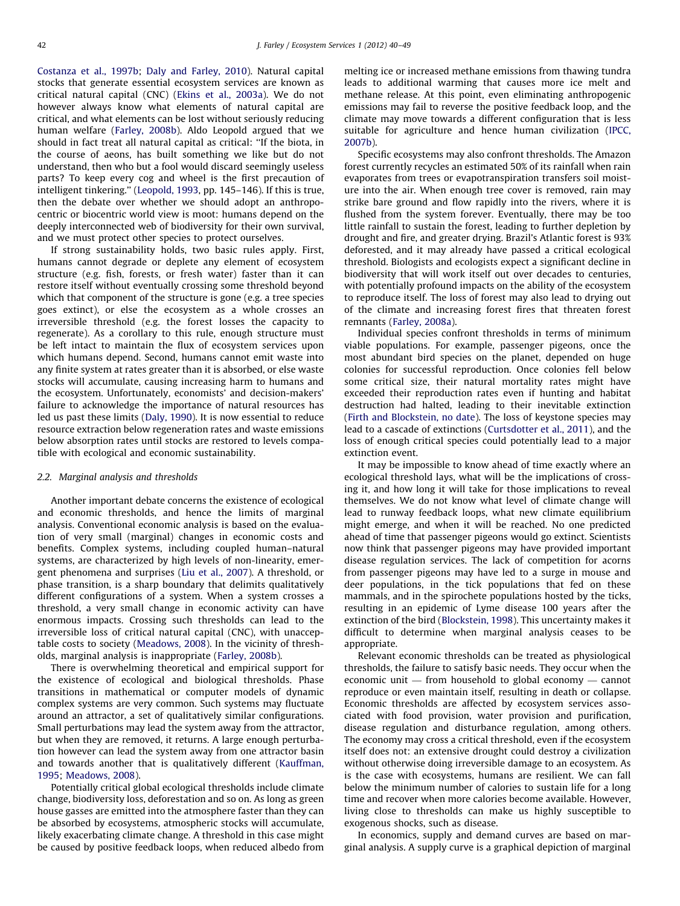<span id="page-3-0"></span>[Costanza et al., 1997b](#page-9-0); [Daly and Farley, 2010](#page-9-0)). Natural capital stocks that generate essential ecosystem services are known as critical natural capital (CNC) [\(Ekins et al., 2003a](#page-9-0)). We do not however always know what elements of natural capital are critical, and what elements can be lost without seriously reducing human welfare ([Farley, 2008b\)](#page-9-0). Aldo Leopold argued that we should in fact treat all natural capital as critical: ''If the biota, in the course of aeons, has built something we like but do not understand, then who but a fool would discard seemingly useless parts? To keep every cog and wheel is the first precaution of intelligent tinkering.'' [\(Leopold, 1993,](#page-10-0) pp. 145–146). If this is true, then the debate over whether we should adopt an anthropocentric or biocentric world view is moot: humans depend on the deeply interconnected web of biodiversity for their own survival, and we must protect other species to protect ourselves.

If strong sustainability holds, two basic rules apply. First, humans cannot degrade or deplete any element of ecosystem structure (e.g. fish, forests, or fresh water) faster than it can restore itself without eventually crossing some threshold beyond which that component of the structure is gone (e.g. a tree species goes extinct), or else the ecosystem as a whole crosses an irreversible threshold (e.g. the forest losses the capacity to regenerate). As a corollary to this rule, enough structure must be left intact to maintain the flux of ecosystem services upon which humans depend. Second, humans cannot emit waste into any finite system at rates greater than it is absorbed, or else waste stocks will accumulate, causing increasing harm to humans and the ecosystem. Unfortunately, economists' and decision-makers' failure to acknowledge the importance of natural resources has led us past these limits [\(Daly, 1990](#page-9-0)). It is now essential to reduce resource extraction below regeneration rates and waste emissions below absorption rates until stocks are restored to levels compatible with ecological and economic sustainability.

#### 2.2. Marginal analysis and thresholds

Another important debate concerns the existence of ecological and economic thresholds, and hence the limits of marginal analysis. Conventional economic analysis is based on the evaluation of very small (marginal) changes in economic costs and benefits. Complex systems, including coupled human–natural systems, are characterized by high levels of non-linearity, emergent phenomena and surprises [\(Liu et al., 2007](#page-10-0)). A threshold, or phase transition, is a sharp boundary that delimits qualitatively different configurations of a system. When a system crosses a threshold, a very small change in economic activity can have enormous impacts. Crossing such thresholds can lead to the irreversible loss of critical natural capital (CNC), with unacceptable costs to society [\(Meadows, 2008\)](#page-10-0). In the vicinity of thresholds, marginal analysis is inappropriate ([Farley, 2008b](#page-9-0)).

There is overwhelming theoretical and empirical support for the existence of ecological and biological thresholds. Phase transitions in mathematical or computer models of dynamic complex systems are very common. Such systems may fluctuate around an attractor, a set of qualitatively similar configurations. Small perturbations may lead the system away from the attractor, but when they are removed, it returns. A large enough perturbation however can lead the system away from one attractor basin and towards another that is qualitatively different ([Kauffman,](#page-10-0) [1995](#page-10-0); [Meadows, 2008](#page-10-0)).

Potentially critical global ecological thresholds include climate change, biodiversity loss, deforestation and so on. As long as green house gasses are emitted into the atmosphere faster than they can be absorbed by ecosystems, atmospheric stocks will accumulate, likely exacerbating climate change. A threshold in this case might be caused by positive feedback loops, when reduced albedo from melting ice or increased methane emissions from thawing tundra leads to additional warming that causes more ice melt and methane release. At this point, even eliminating anthropogenic emissions may fail to reverse the positive feedback loop, and the climate may move towards a different configuration that is less suitable for agriculture and hence human civilization ([IPCC,](#page-9-0) [2007b\)](#page-9-0).

Specific ecosystems may also confront thresholds. The Amazon forest currently recycles an estimated 50% of its rainfall when rain evaporates from trees or evapotranspiration transfers soil moisture into the air. When enough tree cover is removed, rain may strike bare ground and flow rapidly into the rivers, where it is flushed from the system forever. Eventually, there may be too little rainfall to sustain the forest, leading to further depletion by drought and fire, and greater drying. Brazil's Atlantic forest is 93% deforested, and it may already have passed a critical ecological threshold. Biologists and ecologists expect a significant decline in biodiversity that will work itself out over decades to centuries, with potentially profound impacts on the ability of the ecosystem to reproduce itself. The loss of forest may also lead to drying out of the climate and increasing forest fires that threaten forest remnants [\(Farley, 2008a](#page-9-0)).

Individual species confront thresholds in terms of minimum viable populations. For example, passenger pigeons, once the most abundant bird species on the planet, depended on huge colonies for successful reproduction. Once colonies fell below some critical size, their natural mortality rates might have exceeded their reproduction rates even if hunting and habitat destruction had halted, leading to their inevitable extinction ([Firth and Blockstein, no date](#page-9-0)). The loss of keystone species may lead to a cascade of extinctions ([Curtsdotter et al., 2011](#page-9-0)), and the loss of enough critical species could potentially lead to a major extinction event.

It may be impossible to know ahead of time exactly where an ecological threshold lays, what will be the implications of crossing it, and how long it will take for those implications to reveal themselves. We do not know what level of climate change will lead to runway feedback loops, what new climate equilibrium might emerge, and when it will be reached. No one predicted ahead of time that passenger pigeons would go extinct. Scientists now think that passenger pigeons may have provided important disease regulation services. The lack of competition for acorns from passenger pigeons may have led to a surge in mouse and deer populations, in the tick populations that fed on these mammals, and in the spirochete populations hosted by the ticks, resulting in an epidemic of Lyme disease 100 years after the extinction of the bird ([Blockstein, 1998](#page-9-0)). This uncertainty makes it difficult to determine when marginal analysis ceases to be appropriate.

Relevant economic thresholds can be treated as physiological thresholds, the failure to satisfy basic needs. They occur when the economic unit — from household to global economy — cannot reproduce or even maintain itself, resulting in death or collapse. Economic thresholds are affected by ecosystem services associated with food provision, water provision and purification, disease regulation and disturbance regulation, among others. The economy may cross a critical threshold, even if the ecosystem itself does not: an extensive drought could destroy a civilization without otherwise doing irreversible damage to an ecosystem. As is the case with ecosystems, humans are resilient. We can fall below the minimum number of calories to sustain life for a long time and recover when more calories become available. However, living close to thresholds can make us highly susceptible to exogenous shocks, such as disease.

In economics, supply and demand curves are based on marginal analysis. A supply curve is a graphical depiction of marginal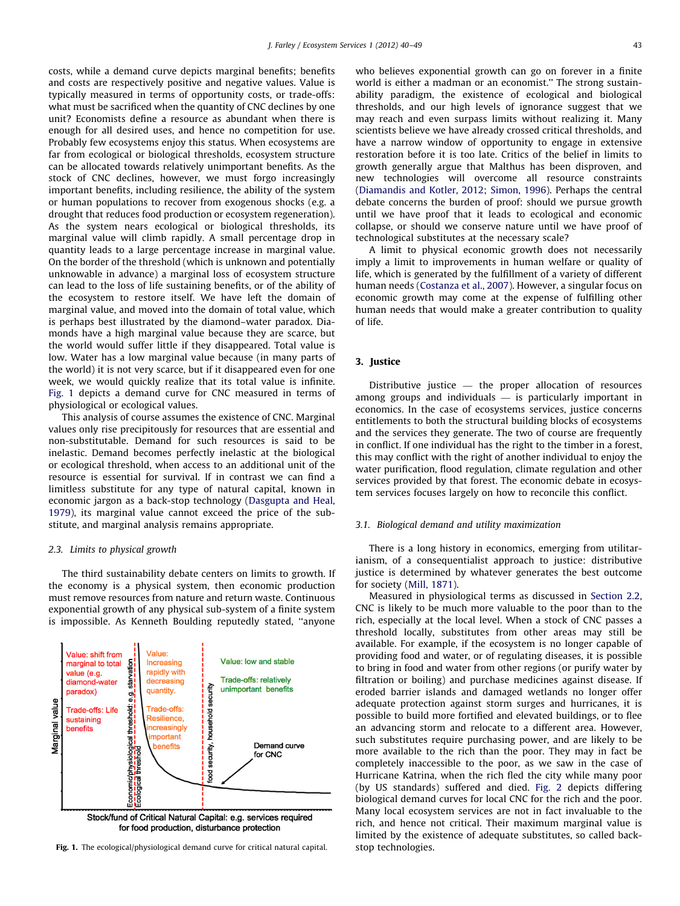<span id="page-4-0"></span>costs, while a demand curve depicts marginal benefits; benefits and costs are respectively positive and negative values. Value is typically measured in terms of opportunity costs, or trade-offs: what must be sacrificed when the quantity of CNC declines by one unit? Economists define a resource as abundant when there is enough for all desired uses, and hence no competition for use. Probably few ecosystems enjoy this status. When ecosystems are far from ecological or biological thresholds, ecosystem structure can be allocated towards relatively unimportant benefits. As the stock of CNC declines, however, we must forgo increasingly important benefits, including resilience, the ability of the system or human populations to recover from exogenous shocks (e.g. a drought that reduces food production or ecosystem regeneration). As the system nears ecological or biological thresholds, its marginal value will climb rapidly. A small percentage drop in quantity leads to a large percentage increase in marginal value. On the border of the threshold (which is unknown and potentially unknowable in advance) a marginal loss of ecosystem structure can lead to the loss of life sustaining benefits, or of the ability of the ecosystem to restore itself. We have left the domain of marginal value, and moved into the domain of total value, which is perhaps best illustrated by the diamond–water paradox. Diamonds have a high marginal value because they are scarce, but the world would suffer little if they disappeared. Total value is low. Water has a low marginal value because (in many parts of the world) it is not very scarce, but if it disappeared even for one week, we would quickly realize that its total value is infinite. Fig. 1 depicts a demand curve for CNC measured in terms of physiological or ecological values.

This analysis of course assumes the existence of CNC. Marginal values only rise precipitously for resources that are essential and non-substitutable. Demand for such resources is said to be inelastic. Demand becomes perfectly inelastic at the biological or ecological threshold, when access to an additional unit of the resource is essential for survival. If in contrast we can find a limitless substitute for any type of natural capital, known in economic jargon as a back-stop technology ([Dasgupta and Heal,](#page-9-0) [1979\)](#page-9-0), its marginal value cannot exceed the price of the substitute, and marginal analysis remains appropriate.

#### 2.3. Limits to physical growth

The third sustainability debate centers on limits to growth. If the economy is a physical system, then economic production must remove resources from nature and return waste. Continuous exponential growth of any physical sub-system of a finite system is impossible. As Kenneth Boulding reputedly stated, ''anyone



for food production, disturbance protection

Fig. 1. The ecological/physiological demand curve for critical natural capital. stop technologies.

who believes exponential growth can go on forever in a finite world is either a madman or an economist.'' The strong sustainability paradigm, the existence of ecological and biological thresholds, and our high levels of ignorance suggest that we may reach and even surpass limits without realizing it. Many scientists believe we have already crossed critical thresholds, and have a narrow window of opportunity to engage in extensive restoration before it is too late. Critics of the belief in limits to growth generally argue that Malthus has been disproven, and new technologies will overcome all resource constraints ([Diamandis and Kotler, 2012;](#page-9-0) [Simon, 1996\)](#page-10-0). Perhaps the central debate concerns the burden of proof: should we pursue growth until we have proof that it leads to ecological and economic collapse, or should we conserve nature until we have proof of technological substitutes at the necessary scale?

A limit to physical economic growth does not necessarily imply a limit to improvements in human welfare or quality of life, which is generated by the fulfillment of a variety of different human needs [\(Costanza et al., 2007\)](#page-9-0). However, a singular focus on economic growth may come at the expense of fulfilling other human needs that would make a greater contribution to quality of life.

### 3. Justice

Distributive justice — the proper allocation of resources among groups and individuals — is particularly important in economics. In the case of ecosystems services, justice concerns entitlements to both the structural building blocks of ecosystems and the services they generate. The two of course are frequently in conflict. If one individual has the right to the timber in a forest, this may conflict with the right of another individual to enjoy the water purification, flood regulation, climate regulation and other services provided by that forest. The economic debate in ecosystem services focuses largely on how to reconcile this conflict.

#### 3.1. Biological demand and utility maximization

There is a long history in economics, emerging from utilitarianism, of a consequentialist approach to justice: distributive justice is determined by whatever generates the best outcome for society ([Mill, 1871](#page-10-0)).

Measured in physiological terms as discussed in [Section 2.2,](#page-3-0) CNC is likely to be much more valuable to the poor than to the rich, especially at the local level. When a stock of CNC passes a threshold locally, substitutes from other areas may still be available. For example, if the ecosystem is no longer capable of providing food and water, or of regulating diseases, it is possible to bring in food and water from other regions (or purify water by filtration or boiling) and purchase medicines against disease. If eroded barrier islands and damaged wetlands no longer offer adequate protection against storm surges and hurricanes, it is possible to build more fortified and elevated buildings, or to flee an advancing storm and relocate to a different area. However, such substitutes require purchasing power, and are likely to be more available to the rich than the poor. They may in fact be completely inaccessible to the poor, as we saw in the case of Hurricane Katrina, when the rich fled the city while many poor (by US standards) suffered and died. [Fig. 2](#page-5-0) depicts differing biological demand curves for local CNC for the rich and the poor. Many local ecosystem services are not in fact invaluable to the rich, and hence not critical. Their maximum marginal value is limited by the existence of adequate substitutes, so called back-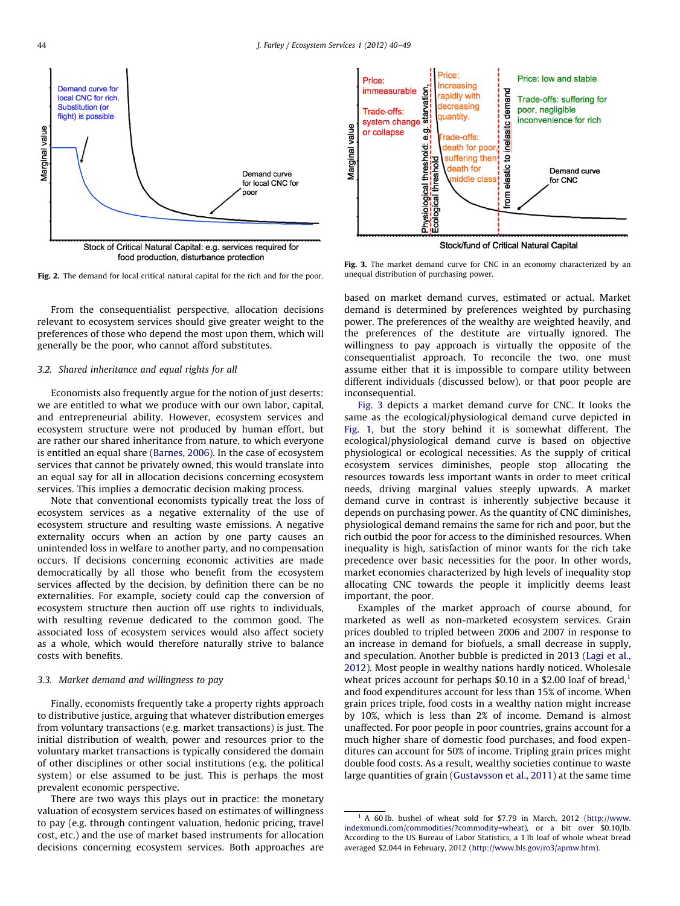<span id="page-5-0"></span>Demand curve for local CNC for rich. **Substitution (or** flight) is possible Marginal value Demand curve for local CNC for poor Stock of Critical Natural Capital: e.g. services required for food production, disturbance protection

Fig. 2. The demand for local critical natural capital for the rich and for the poor.

From the consequentialist perspective, allocation decisions relevant to ecosystem services should give greater weight to the preferences of those who depend the most upon them, which will generally be the poor, who cannot afford substitutes.

#### 3.2. Shared inheritance and equal rights for all

Economists also frequently argue for the notion of just deserts: we are entitled to what we produce with our own labor, capital, and entrepreneurial ability. However, ecosystem services and ecosystem structure were not produced by human effort, but are rather our shared inheritance from nature, to which everyone is entitled an equal share [\(Barnes, 2006](#page-9-0)). In the case of ecosystem services that cannot be privately owned, this would translate into an equal say for all in allocation decisions concerning ecosystem services. This implies a democratic decision making process.

Note that conventional economists typically treat the loss of ecosystem services as a negative externality of the use of ecosystem structure and resulting waste emissions. A negative externality occurs when an action by one party causes an unintended loss in welfare to another party, and no compensation occurs. If decisions concerning economic activities are made democratically by all those who benefit from the ecosystem services affected by the decision, by definition there can be no externalities. For example, society could cap the conversion of ecosystem structure then auction off use rights to individuals, with resulting revenue dedicated to the common good. The associated loss of ecosystem services would also affect society as a whole, which would therefore naturally strive to balance costs with benefits.

#### 3.3. Market demand and willingness to pay

Finally, economists frequently take a property rights approach to distributive justice, arguing that whatever distribution emerges from voluntary transactions (e.g. market transactions) is just. The initial distribution of wealth, power and resources prior to the voluntary market transactions is typically considered the domain of other disciplines or other social institutions (e.g. the political system) or else assumed to be just. This is perhaps the most prevalent economic perspective.

There are two ways this plays out in practice: the monetary valuation of ecosystem services based on estimates of willingness to pay (e.g. through contingent valuation, hedonic pricing, travel cost, etc.) and the use of market based instruments for allocation decisions concerning ecosystem services. Both approaches are



Fig. 3. The market demand curve for CNC in an economy characterized by an unequal distribution of purchasing power.

based on market demand curves, estimated or actual. Market demand is determined by preferences weighted by purchasing power. The preferences of the wealthy are weighted heavily, and the preferences of the destitute are virtually ignored. The willingness to pay approach is virtually the opposite of the consequentialist approach. To reconcile the two, one must assume either that it is impossible to compare utility between different individuals (discussed below), or that poor people are inconsequential.

Fig. 3 depicts a market demand curve for CNC. It looks the same as the ecological/physiological demand curve depicted in [Fig. 1,](#page-4-0) but the story behind it is somewhat different. The ecological/physiological demand curve is based on objective physiological or ecological necessities. As the supply of critical ecosystem services diminishes, people stop allocating the resources towards less important wants in order to meet critical needs, driving marginal values steeply upwards. A market demand curve in contrast is inherently subjective because it depends on purchasing power. As the quantity of CNC diminishes, physiological demand remains the same for rich and poor, but the rich outbid the poor for access to the diminished resources. When inequality is high, satisfaction of minor wants for the rich take precedence over basic necessities for the poor. In other words, market economies characterized by high levels of inequality stop allocating CNC towards the people it implicitly deems least important, the poor.

Examples of the market approach of course abound, for marketed as well as non-marketed ecosystem services. Grain prices doubled to tripled between 2006 and 2007 in response to an increase in demand for biofuels, a small decrease in supply, and speculation. Another bubble is predicted in 2013 ([Lagi et al.,](#page-10-0) [2012\)](#page-10-0). Most people in wealthy nations hardly noticed. Wholesale wheat prices account for perhaps  $$0.10$  in a  $$2.00$  loaf of bread,<sup>1</sup> and food expenditures account for less than 15% of income. When grain prices triple, food costs in a wealthy nation might increase by 10%, which is less than 2% of income. Demand is almost unaffected. For poor people in poor countries, grains account for a much higher share of domestic food purchases, and food expenditures can account for 50% of income. Tripling grain prices might double food costs. As a result, wealthy societies continue to waste large quantities of grain [\(Gustavsson et al., 2011](#page-9-0)) at the same time

 $1$  A 60 lb. bushel of wheat sold for \$7.79 in March, 2012 [\(http://www.](http://www.indexmundi.com/commodities/?commodity=wheat) [indexmundi.com/commodities/?commodity=wheat](http://www.indexmundi.com/commodities/?commodity=wheat)), or a bit over \$0.10/lb. According to the US Bureau of Labor Statistics, a 1 lb loaf of whole wheat bread averaged \$2.044 in February, 2012 ([http://www.bls.gov/ro3/apmw.htm\)](http://www.bls.gov/ro3/apmw.htm).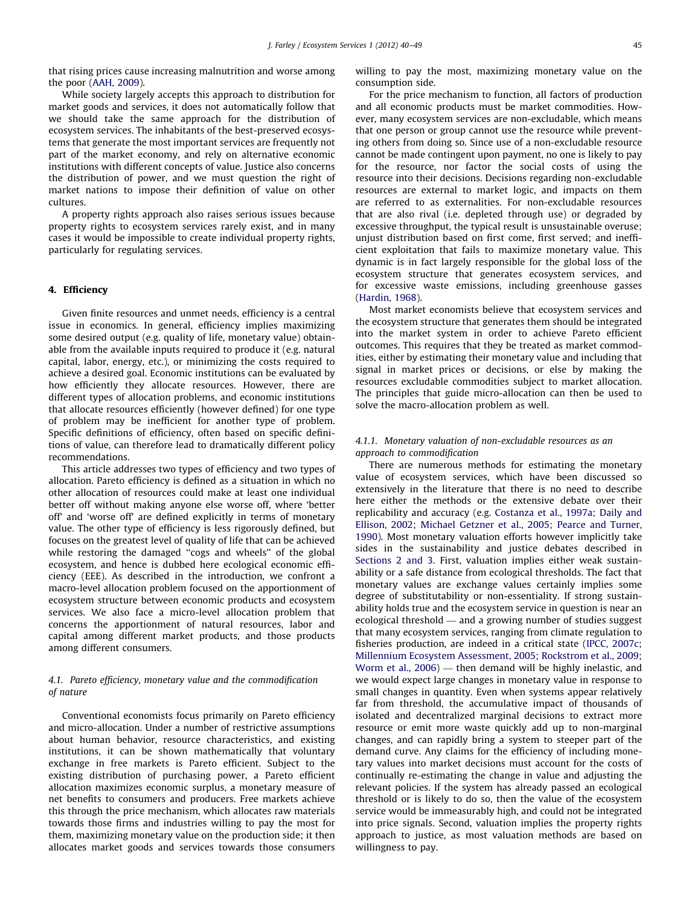that rising prices cause increasing malnutrition and worse among the poor [\(AAH, 2009](#page-9-0)).

While society largely accepts this approach to distribution for market goods and services, it does not automatically follow that we should take the same approach for the distribution of ecosystem services. The inhabitants of the best-preserved ecosystems that generate the most important services are frequently not part of the market economy, and rely on alternative economic institutions with different concepts of value. Justice also concerns the distribution of power, and we must question the right of market nations to impose their definition of value on other cultures.

A property rights approach also raises serious issues because property rights to ecosystem services rarely exist, and in many cases it would be impossible to create individual property rights, particularly for regulating services.

#### 4. Efficiency

Given finite resources and unmet needs, efficiency is a central issue in economics. In general, efficiency implies maximizing some desired output (e.g. quality of life, monetary value) obtainable from the available inputs required to produce it (e.g. natural capital, labor, energy, etc.), or minimizing the costs required to achieve a desired goal. Economic institutions can be evaluated by how efficiently they allocate resources. However, there are different types of allocation problems, and economic institutions that allocate resources efficiently (however defined) for one type of problem may be inefficient for another type of problem. Specific definitions of efficiency, often based on specific definitions of value, can therefore lead to dramatically different policy recommendations.

This article addresses two types of efficiency and two types of allocation. Pareto efficiency is defined as a situation in which no other allocation of resources could make at least one individual better off without making anyone else worse off, where 'better off' and 'worse off' are defined explicitly in terms of monetary value. The other type of efficiency is less rigorously defined, but focuses on the greatest level of quality of life that can be achieved while restoring the damaged ''cogs and wheels'' of the global ecosystem, and hence is dubbed here ecological economic efficiency (EEE). As described in the introduction, we confront a macro-level allocation problem focused on the apportionment of ecosystem structure between economic products and ecosystem services. We also face a micro-level allocation problem that concerns the apportionment of natural resources, labor and capital among different market products, and those products among different consumers.

## 4.1. Pareto efficiency, monetary value and the commodification of nature

Conventional economists focus primarily on Pareto efficiency and micro-allocation. Under a number of restrictive assumptions about human behavior, resource characteristics, and existing institutions, it can be shown mathematically that voluntary exchange in free markets is Pareto efficient. Subject to the existing distribution of purchasing power, a Pareto efficient allocation maximizes economic surplus, a monetary measure of net benefits to consumers and producers. Free markets achieve this through the price mechanism, which allocates raw materials towards those firms and industries willing to pay the most for them, maximizing monetary value on the production side; it then allocates market goods and services towards those consumers willing to pay the most, maximizing monetary value on the consumption side.

For the price mechanism to function, all factors of production and all economic products must be market commodities. However, many ecosystem services are non-excludable, which means that one person or group cannot use the resource while preventing others from doing so. Since use of a non-excludable resource cannot be made contingent upon payment, no one is likely to pay for the resource, nor factor the social costs of using the resource into their decisions. Decisions regarding non-excludable resources are external to market logic, and impacts on them are referred to as externalities. For non-excludable resources that are also rival (i.e. depleted through use) or degraded by excessive throughput, the typical result is unsustainable overuse; unjust distribution based on first come, first served; and inefficient exploitation that fails to maximize monetary value. This dynamic is in fact largely responsible for the global loss of the ecosystem structure that generates ecosystem services, and for excessive waste emissions, including greenhouse gasses ([Hardin, 1968\)](#page-9-0).

Most market economists believe that ecosystem services and the ecosystem structure that generates them should be integrated into the market system in order to achieve Pareto efficient outcomes. This requires that they be treated as market commodities, either by estimating their monetary value and including that signal in market prices or decisions, or else by making the resources excludable commodities subject to market allocation. The principles that guide micro-allocation can then be used to solve the macro-allocation problem as well.

## 4.1.1. Monetary valuation of non-excludable resources as an approach to commodification

There are numerous methods for estimating the monetary value of ecosystem services, which have been discussed so extensively in the literature that there is no need to describe here either the methods or the extensive debate over their replicability and accuracy (e.g. [Costanza et al., 1997a](#page-9-0); [Daily and](#page-9-0) [Ellison, 2002;](#page-9-0) [Michael Getzner et al., 2005](#page-9-0); [Pearce and Turner,](#page-10-0) [1990\)](#page-10-0). Most monetary valuation efforts however implicitly take sides in the sustainability and justice debates described in [Sections 2 and 3](#page-2-0). First, valuation implies either weak sustainability or a safe distance from ecological thresholds. The fact that monetary values are exchange values certainly implies some degree of substitutability or non-essentiality. If strong sustainability holds true and the ecosystem service in question is near an ecological threshold — and a growing number of studies suggest that many ecosystem services, ranging from climate regulation to fisheries production, are indeed in a critical state ([IPCC, 2007c;](#page-10-0) [Millennium Ecosystem Assessment, 2005](#page-10-0); [Rockstrom et al., 2009;](#page-10-0) [Worm et al., 2006](#page-10-0)) — then demand will be highly inelastic, and we would expect large changes in monetary value in response to small changes in quantity. Even when systems appear relatively far from threshold, the accumulative impact of thousands of isolated and decentralized marginal decisions to extract more resource or emit more waste quickly add up to non-marginal changes, and can rapidly bring a system to steeper part of the demand curve. Any claims for the efficiency of including monetary values into market decisions must account for the costs of continually re-estimating the change in value and adjusting the relevant policies. If the system has already passed an ecological threshold or is likely to do so, then the value of the ecosystem service would be immeasurably high, and could not be integrated into price signals. Second, valuation implies the property rights approach to justice, as most valuation methods are based on willingness to pay.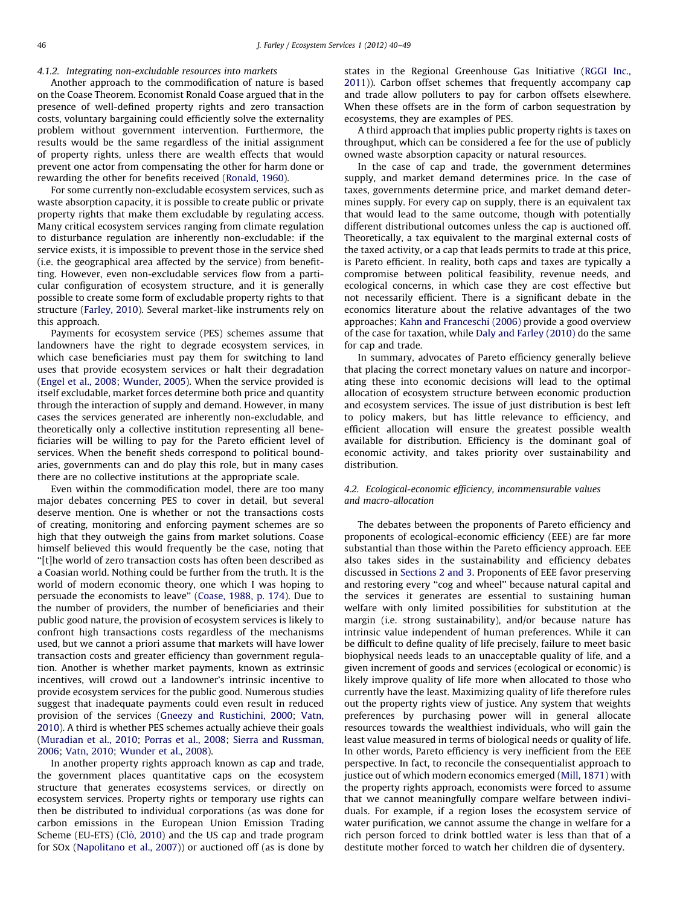#### 4.1.2. Integrating non-excludable resources into markets

Another approach to the commodification of nature is based on the Coase Theorem. Economist Ronald Coase argued that in the presence of well-defined property rights and zero transaction costs, voluntary bargaining could efficiently solve the externality problem without government intervention. Furthermore, the results would be the same regardless of the initial assignment of property rights, unless there are wealth effects that would prevent one actor from compensating the other for harm done or rewarding the other for benefits received [\(Ronald, 1960](#page-10-0)).

For some currently non-excludable ecosystem services, such as waste absorption capacity, it is possible to create public or private property rights that make them excludable by regulating access. Many critical ecosystem services ranging from climate regulation to disturbance regulation are inherently non-excludable: if the service exists, it is impossible to prevent those in the service shed (i.e. the geographical area affected by the service) from benefitting. However, even non-excludable services flow from a particular configuration of ecosystem structure, and it is generally possible to create some form of excludable property rights to that structure ([Farley, 2010\)](#page-9-0). Several market-like instruments rely on this approach.

Payments for ecosystem service (PES) schemes assume that landowners have the right to degrade ecosystem services, in which case beneficiaries must pay them for switching to land uses that provide ecosystem services or halt their degradation ([Engel et al., 2008](#page-9-0); [Wunder, 2005\)](#page-10-0). When the service provided is itself excludable, market forces determine both price and quantity through the interaction of supply and demand. However, in many cases the services generated are inherently non-excludable, and theoretically only a collective institution representing all beneficiaries will be willing to pay for the Pareto efficient level of services. When the benefit sheds correspond to political boundaries, governments can and do play this role, but in many cases there are no collective institutions at the appropriate scale.

Even within the commodification model, there are too many major debates concerning PES to cover in detail, but several deserve mention. One is whether or not the transactions costs of creating, monitoring and enforcing payment schemes are so high that they outweigh the gains from market solutions. Coase himself believed this would frequently be the case, noting that ''[t]he world of zero transaction costs has often been described as a Coasian world. Nothing could be further from the truth. It is the world of modern economic theory, one which I was hoping to persuade the economists to leave'' ([Coase, 1988, p. 174](#page-9-0)). Due to the number of providers, the number of beneficiaries and their public good nature, the provision of ecosystem services is likely to confront high transactions costs regardless of the mechanisms used, but we cannot a priori assume that markets will have lower transaction costs and greater efficiency than government regulation. Another is whether market payments, known as extrinsic incentives, will crowd out a landowner's intrinsic incentive to provide ecosystem services for the public good. Numerous studies suggest that inadequate payments could even result in reduced provision of the services ([Gneezy and Rustichini, 2000](#page-9-0); [Vatn,](#page-10-0) [2010\)](#page-10-0). A third is whether PES schemes actually achieve their goals ([Muradian et al., 2010](#page-10-0); [Porras et al., 2008;](#page-10-0) [Sierra and Russman,](#page-10-0) [2006;](#page-10-0) [Vatn, 2010](#page-10-0); [Wunder et al., 2008\)](#page-10-0).

In another property rights approach known as cap and trade, the government places quantitative caps on the ecosystem structure that generates ecosystems services, or directly on ecosystem services. Property rights or temporary use rights can then be distributed to individual corporations (as was done for carbon emissions in the European Union Emission Trading Scheme (EU-ETS) (Clò, 2010) and the US cap and trade program for SOx [\(Napolitano et al., 2007\)](#page-10-0)) or auctioned off (as is done by states in the Regional Greenhouse Gas Initiative [\(RGGI Inc.,](#page-10-0) [2011\)](#page-10-0)). Carbon offset schemes that frequently accompany cap and trade allow polluters to pay for carbon offsets elsewhere. When these offsets are in the form of carbon sequestration by ecosystems, they are examples of PES.

A third approach that implies public property rights is taxes on throughput, which can be considered a fee for the use of publicly owned waste absorption capacity or natural resources.

In the case of cap and trade, the government determines supply, and market demand determines price. In the case of taxes, governments determine price, and market demand determines supply. For every cap on supply, there is an equivalent tax that would lead to the same outcome, though with potentially different distributional outcomes unless the cap is auctioned off. Theoretically, a tax equivalent to the marginal external costs of the taxed activity, or a cap that leads permits to trade at this price, is Pareto efficient. In reality, both caps and taxes are typically a compromise between political feasibility, revenue needs, and ecological concerns, in which case they are cost effective but not necessarily efficient. There is a significant debate in the economics literature about the relative advantages of the two approaches; [Kahn and Franceschi \(2006\)](#page-10-0) provide a good overview of the case for taxation, while [Daly and Farley \(2010\)](#page-9-0) do the same for cap and trade.

In summary, advocates of Pareto efficiency generally believe that placing the correct monetary values on nature and incorporating these into economic decisions will lead to the optimal allocation of ecosystem structure between economic production and ecosystem services. The issue of just distribution is best left to policy makers, but has little relevance to efficiency, and efficient allocation will ensure the greatest possible wealth available for distribution. Efficiency is the dominant goal of economic activity, and takes priority over sustainability and distribution.

## 4.2. Ecological-economic efficiency, incommensurable values and macro-allocation

The debates between the proponents of Pareto efficiency and proponents of ecological-economic efficiency (EEE) are far more substantial than those within the Pareto efficiency approach. EEE also takes sides in the sustainability and efficiency debates discussed in [Sections 2 and 3.](#page-2-0) Proponents of EEE favor preserving and restoring every ''cog and wheel'' because natural capital and the services it generates are essential to sustaining human welfare with only limited possibilities for substitution at the margin (i.e. strong sustainability), and/or because nature has intrinsic value independent of human preferences. While it can be difficult to define quality of life precisely, failure to meet basic biophysical needs leads to an unacceptable quality of life, and a given increment of goods and services (ecological or economic) is likely improve quality of life more when allocated to those who currently have the least. Maximizing quality of life therefore rules out the property rights view of justice. Any system that weights preferences by purchasing power will in general allocate resources towards the wealthiest individuals, who will gain the least value measured in terms of biological needs or quality of life. In other words, Pareto efficiency is very inefficient from the EEE perspective. In fact, to reconcile the consequentialist approach to justice out of which modern economics emerged ([Mill, 1871](#page-10-0)) with the property rights approach, economists were forced to assume that we cannot meaningfully compare welfare between individuals. For example, if a region loses the ecosystem service of water purification, we cannot assume the change in welfare for a rich person forced to drink bottled water is less than that of a destitute mother forced to watch her children die of dysentery.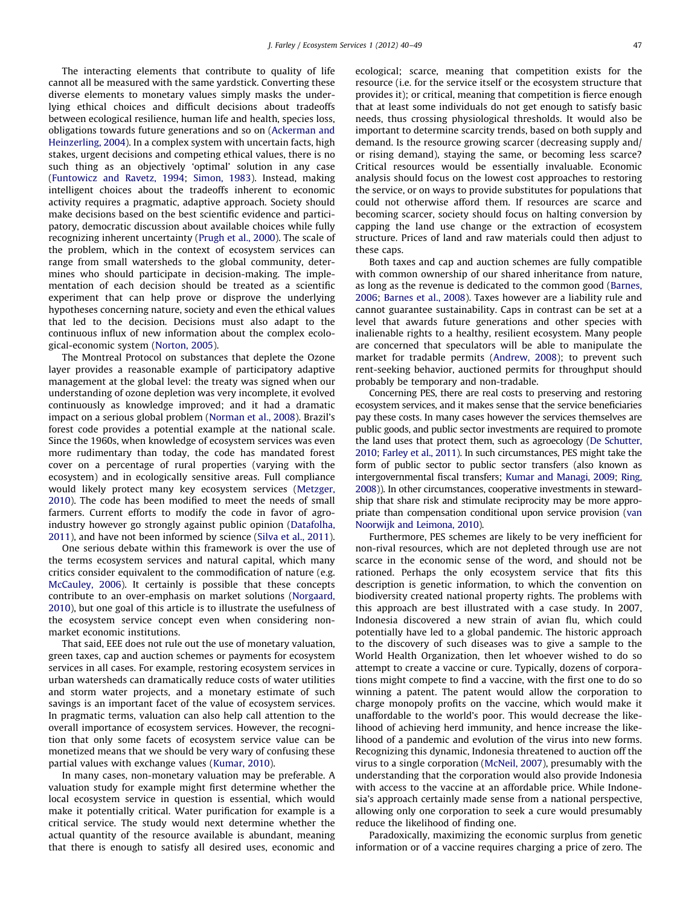The interacting elements that contribute to quality of life cannot all be measured with the same yardstick. Converting these diverse elements to monetary values simply masks the underlying ethical choices and difficult decisions about tradeoffs between ecological resilience, human life and health, species loss, obligations towards future generations and so on [\(Ackerman and](#page-9-0) [Heinzerling, 2004\)](#page-9-0). In a complex system with uncertain facts, high stakes, urgent decisions and competing ethical values, there is no such thing as an objectively 'optimal' solution in any case ([Funtowicz and Ravetz, 1994](#page-9-0); [Simon, 1983\)](#page-10-0). Instead, making intelligent choices about the tradeoffs inherent to economic activity requires a pragmatic, adaptive approach. Society should make decisions based on the best scientific evidence and participatory, democratic discussion about available choices while fully recognizing inherent uncertainty [\(Prugh et al., 2000](#page-10-0)). The scale of the problem, which in the context of ecosystem services can range from small watersheds to the global community, determines who should participate in decision-making. The implementation of each decision should be treated as a scientific experiment that can help prove or disprove the underlying hypotheses concerning nature, society and even the ethical values that led to the decision. Decisions must also adapt to the continuous influx of new information about the complex ecological-economic system [\(Norton, 2005\)](#page-10-0).

The Montreal Protocol on substances that deplete the Ozone layer provides a reasonable example of participatory adaptive management at the global level: the treaty was signed when our understanding of ozone depletion was very incomplete, it evolved continuously as knowledge improved; and it had a dramatic impact on a serious global problem [\(Norman et al., 2008\)](#page-10-0). Brazil's forest code provides a potential example at the national scale. Since the 1960s, when knowledge of ecosystem services was even more rudimentary than today, the code has mandated forest cover on a percentage of rural properties (varying with the ecosystem) and in ecologically sensitive areas. Full compliance would likely protect many key ecosystem services [\(Metzger,](#page-10-0) [2010\)](#page-10-0). The code has been modified to meet the needs of small farmers. Current efforts to modify the code in favor of agroindustry however go strongly against public opinion ([Datafolha,](#page-9-0) [2011\)](#page-9-0), and have not been informed by science ([Silva et al., 2011\)](#page-10-0).

One serious debate within this framework is over the use of the terms ecosystem services and natural capital, which many critics consider equivalent to the commodification of nature (e.g. [McCauley, 2006](#page-10-0)). It certainly is possible that these concepts contribute to an over-emphasis on market solutions [\(Norgaard,](#page-10-0) [2010\)](#page-10-0), but one goal of this article is to illustrate the usefulness of the ecosystem service concept even when considering nonmarket economic institutions.

That said, EEE does not rule out the use of monetary valuation, green taxes, cap and auction schemes or payments for ecosystem services in all cases. For example, restoring ecosystem services in urban watersheds can dramatically reduce costs of water utilities and storm water projects, and a monetary estimate of such savings is an important facet of the value of ecosystem services. In pragmatic terms, valuation can also help call attention to the overall importance of ecosystem services. However, the recognition that only some facets of ecosystem service value can be monetized means that we should be very wary of confusing these partial values with exchange values ([Kumar, 2010](#page-10-0)).

In many cases, non-monetary valuation may be preferable. A valuation study for example might first determine whether the local ecosystem service in question is essential, which would make it potentially critical. Water purification for example is a critical service. The study would next determine whether the actual quantity of the resource available is abundant, meaning that there is enough to satisfy all desired uses, economic and ecological; scarce, meaning that competition exists for the resource (i.e. for the service itself or the ecosystem structure that provides it); or critical, meaning that competition is fierce enough that at least some individuals do not get enough to satisfy basic needs, thus crossing physiological thresholds. It would also be important to determine scarcity trends, based on both supply and demand. Is the resource growing scarcer (decreasing supply and/ or rising demand), staying the same, or becoming less scarce? Critical resources would be essentially invaluable. Economic analysis should focus on the lowest cost approaches to restoring the service, or on ways to provide substitutes for populations that could not otherwise afford them. If resources are scarce and becoming scarcer, society should focus on halting conversion by capping the land use change or the extraction of ecosystem structure. Prices of land and raw materials could then adjust to these caps.

Both taxes and cap and auction schemes are fully compatible with common ownership of our shared inheritance from nature, as long as the revenue is dedicated to the common good ([Barnes,](#page-9-0) [2006;](#page-9-0) [Barnes et al., 2008\)](#page-9-0). Taxes however are a liability rule and cannot guarantee sustainability. Caps in contrast can be set at a level that awards future generations and other species with inalienable rights to a healthy, resilient ecosystem. Many people are concerned that speculators will be able to manipulate the market for tradable permits [\(Andrew, 2008\)](#page-9-0); to prevent such rent-seeking behavior, auctioned permits for throughput should probably be temporary and non-tradable.

Concerning PES, there are real costs to preserving and restoring ecosystem services, and it makes sense that the service beneficiaries pay these costs. In many cases however the services themselves are public goods, and public sector investments are required to promote the land uses that protect them, such as agroecology [\(De Schutter,](#page-9-0) [2010](#page-9-0); [Farley et al., 2011](#page-9-0)). In such circumstances, PES might take the form of public sector to public sector transfers (also known as intergovernmental fiscal transfers; [Kumar and Managi, 2009](#page-10-0); [Ring,](#page-10-0) [2008](#page-10-0))). In other circumstances, cooperative investments in stewardship that share risk and stimulate reciprocity may be more appropriate than compensation conditional upon service provision [\(van](#page-10-0) [Noorwijk and Leimona, 2010](#page-10-0)).

Furthermore, PES schemes are likely to be very inefficient for non-rival resources, which are not depleted through use are not scarce in the economic sense of the word, and should not be rationed. Perhaps the only ecosystem service that fits this description is genetic information, to which the convention on biodiversity created national property rights. The problems with this approach are best illustrated with a case study. In 2007, Indonesia discovered a new strain of avian flu, which could potentially have led to a global pandemic. The historic approach to the discovery of such diseases was to give a sample to the World Health Organization, then let whoever wished to do so attempt to create a vaccine or cure. Typically, dozens of corporations might compete to find a vaccine, with the first one to do so winning a patent. The patent would allow the corporation to charge monopoly profits on the vaccine, which would make it unaffordable to the world's poor. This would decrease the likelihood of achieving herd immunity, and hence increase the likelihood of a pandemic and evolution of the virus into new forms. Recognizing this dynamic, Indonesia threatened to auction off the virus to a single corporation ([McNeil, 2007](#page-10-0)), presumably with the understanding that the corporation would also provide Indonesia with access to the vaccine at an affordable price. While Indonesia's approach certainly made sense from a national perspective, allowing only one corporation to seek a cure would presumably reduce the likelihood of finding one.

Paradoxically, maximizing the economic surplus from genetic information or of a vaccine requires charging a price of zero. The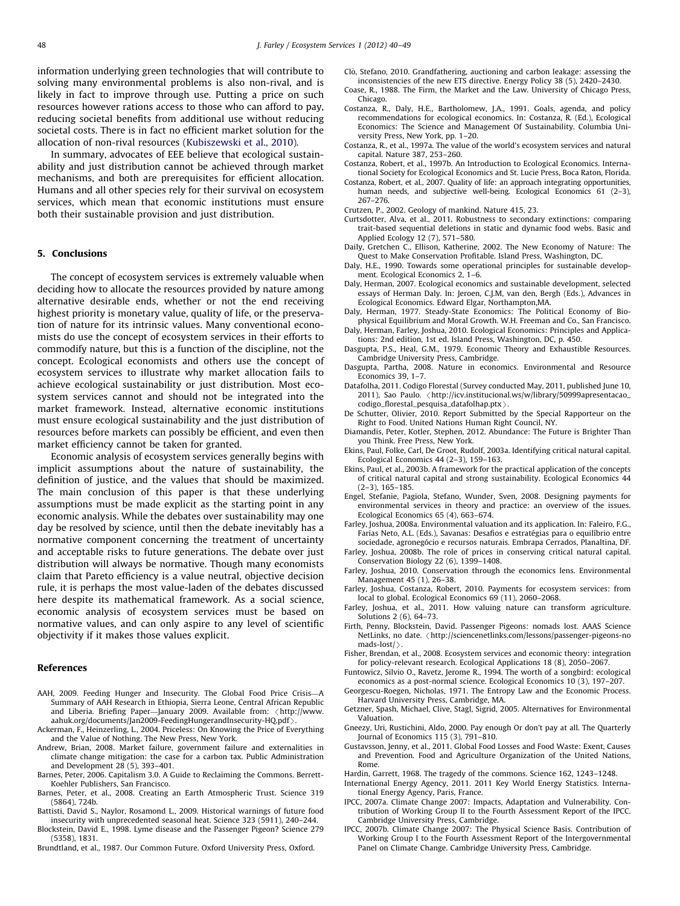<span id="page-9-0"></span>information underlying green technologies that will contribute to solving many environmental problems is also non-rival, and is likely in fact to improve through use. Putting a price on such resources however rations access to those who can afford to pay, reducing societal benefits from additional use without reducing societal costs. There is in fact no efficient market solution for the allocation of non-rival resources [\(Kubiszewski et al., 2010\)](#page-10-0).

In summary, advocates of EEE believe that ecological sustainability and just distribution cannot be achieved through market mechanisms, and both are prerequisites for efficient allocation. Humans and all other species rely for their survival on ecosystem services, which mean that economic institutions must ensure both their sustainable provision and just distribution.

#### 5. Conclusions

The concept of ecosystem services is extremely valuable when deciding how to allocate the resources provided by nature among alternative desirable ends, whether or not the end receiving highest priority is monetary value, quality of life, or the preservation of nature for its intrinsic values. Many conventional economists do use the concept of ecosystem services in their efforts to commodify nature, but this is a function of the discipline, not the concept. Ecological economists and others use the concept of ecosystem services to illustrate why market allocation fails to achieve ecological sustainability or just distribution. Most ecosystem services cannot and should not be integrated into the market framework. Instead, alternative economic institutions must ensure ecological sustainability and the just distribution of resources before markets can possibly be efficient, and even then market efficiency cannot be taken for granted.

Economic analysis of ecosystem services generally begins with implicit assumptions about the nature of sustainability, the definition of justice, and the values that should be maximized. The main conclusion of this paper is that these underlying assumptions must be made explicit as the starting point in any economic analysis. While the debates over sustainability may one day be resolved by science, until then the debate inevitably has a normative component concerning the treatment of uncertainty and acceptable risks to future generations. The debate over just distribution will always be normative. Though many economists claim that Pareto efficiency is a value neutral, objective decision rule, it is perhaps the most value-laden of the debates discussed here despite its mathematical framework. As a social science, economic analysis of ecosystem services must be based on normative values, and can only aspire to any level of scientific objectivity if it makes those values explicit.

#### References

- AAH, 2009. Feeding Hunger and Insecurity. The Global Food Price Crisis—A Summary of AAH Research in Ethiopia, Sierra Leone, Central African Republic and Liberia. Briefing Paper--January 2009. Available from:  $\langle$ [http://www.](http://www.aahuk.org/documents/Jan2009-FeedingHungerandInsecurity-HQ.pdf) [aahuk.org/documents/Jan2009-FeedingHungerandInsecurity-HQ.pdf](http://www.aahuk.org/documents/Jan2009-FeedingHungerandInsecurity-HQ.pdf) $\rangle$
- Ackerman, F., Heinzerling, L., 2004. Priceless: On Knowing the Price of Everything and the Value of Nothing. The New Press, New York.
- Andrew, Brian, 2008. Market failure, government failure and externalities in climate change mitigation: the case for a carbon tax. Public Administration and Development 28 (5), 393–401.
- Barnes, Peter, 2006. Capitalism 3.0. A Guide to Reclaiming the Commons. Berrett-Koehler Publishers, San Francisco.
- Barnes, Peter, et al., 2008. Creating an Earth Atmospheric Trust. Science 319 (5864), 724b.
- Battisti, David S., Naylor, Rosamond L., 2009. Historical warnings of future food insecurity with unprecedented seasonal heat. Science 323 (5911), 240–244.
- Blockstein, David E., 1998. Lyme disease and the Passenger Pigeon? Science 279 (5358), 1831.
- Brundtland, et al., 1987. Our Common Future. Oxford University Press, Oxford.
- Clò, Stefano, 2010. Grandfathering, auctioning and carbon leakage: assessing the inconsistencies of the new ETS directive. Energy Policy 38 (5), 2420–2430.
- Coase, R., 1988. The Firm, the Market and the Law. University of Chicago Press, Chicago.
- Costanza, R., Daly, H.E., Bartholomew, J.A., 1991. Goals, agenda, and policy recommendations for ecological economics. In: Costanza, R. (Ed.), Ecological Economics: The Science and Management Of Sustainability. Columbia University Press, New York, pp. 1–20.
- Costanza, R., et al., 1997a. The value of the world's ecosystem services and natural capital. Nature 387, 253–260.
- Costanza, Robert, et al., 1997b. An Introduction to Ecological Economics. International Society for Ecological Economics and St. Lucie Press, Boca Raton, Florida.
- Costanza, Robert, et al., 2007. Quality of life: an approach integrating opportunities, human needs, and subjective well-being. Ecological Economics 61 (2–3), 267–276.
- Crutzen, P., 2002. Geology of mankind. Nature 415, 23.
- Curtsdotter, Alva, et al., 2011. Robustness to secondary extinctions: comparing trait-based sequential deletions in static and dynamic food webs. Basic and Applied Ecology 12 (7), 571–580.
- Daily, Gretchen C., Ellison, Katherine, 2002. The New Economy of Nature: The Quest to Make Conservation Profitable. Island Press, Washington, DC.
- Daly, H.E., 1990. Towards some operational principles for sustainable development. Ecological Economics 2, 1-6.
- Daly, Herman, 2007. Ecological economics and sustainable development, selected essays of Herman Daly. In: Jeroen, C.J.M, van den, Bergh (Eds.), Advances in Ecological Economics. Edward Elgar, Northampton,MA.
- Daly, Herman, 1977. Steady-State Economics: The Political Economy of Biophysical Equilibrium and Moral Growth. W.H. Freeman and Co., San Francisco.
- Daly, Herman, Farley, Joshua, 2010. Ecological Economics: Principles and Applications: 2nd edition, 1st ed. Island Press, Washington, DC, p. 450.
- Dasgupta, P.S., Heal, G.M., 1979. Economic Theory and Exhaustible Resources. Cambridge University Press, Cambridge.
- Dasgupta, Partha, 2008. Nature in economics. Environmental and Resource Economics 39, 1–7.
- Datafolha, 2011. Codigo Florestal (Survey conducted May, 2011, published June 10, 2011), Sao Paulo. < [http://icv.institucional.ws/w/library/50999apresentacao\\_](http://icv.institucional.ws/w/library/50999apresentacao_codigo_florestal_pesquisa_datafolhap.ptx)  $codigo_florestal_pesquisa_datafolhap.ptx$
- De Schutter, Olivier, 2010. Report Submitted by the Special Rapporteur on the Right to Food. United Nations Human Right Council, NY.
- Diamandis, Peter, Kotler, Stephen, 2012. Abundance: The Future is Brighter Than you Think. Free Press, New York.
- Ekins, Paul, Folke, Carl, De Groot, Rudolf, 2003a. Identifying critical natural capital. Ecological Economics 44 (2–3), 159–163.
- Ekins, Paul, et al., 2003b. A framework for the practical application of the concepts of critical natural capital and strong sustainability. Ecological Economics 44 (2–3), 165–185.
- Engel, Stefanie, Pagiola, Stefano, Wunder, Sven, 2008. Designing payments for environmental services in theory and practice: an overview of the issues. Ecological Economics 65 (4), 663–674.
- Farley, Joshua, 2008a. Environmental valuation and its application. In: Faleiro, F.G., Farias Neto, A.L. (Eds.), Savanas: Desafios e estratégias para o equilíbrio entre sociedade, agronegócio e recursos naturais. Embrapa Cerrados, Planaltina, DF.
- Farley, Joshua, 2008b. The role of prices in conserving critical natural capital. Conservation Biology 22 (6), 1399–1408.
- Farley, Joshua, 2010. Conservation through the economics lens. Environmental Management 45 (1), 26–38.
- Farley, Joshua, Costanza, Robert, 2010. Payments for ecosystem services: from local to global. Ecological Economics 69 (11), 2060–2068.
- Farley, Joshua, et al., 2011. How valuing nature can transform agriculture. Solutions 2 (6), 64–73.
- Firth, Penny, Blockstein, David. Passenger Pigeons: nomads lost. AAAS Science NetLinks, no date.  $\langle$ [http://sciencenetlinks.com/lessons/passenger-pigeons-no](http://sciencenetlinks.com/lessons/passenger-pigeons-nomads-lost/) mads-lost/ $\rangle$ . [mads-lost/](http://sciencenetlinks.com/lessons/passenger-pigeons-nomads-lost/)>.<br>Fisher, Brendan, et al., 2008. Ecosystem services and economic theory: integration
- for policy-relevant research. Ecological Applications 18 (8), 2050–2067.
- Funtowicz, Silvio O., Ravetz, Jerome R., 1994. The worth of a songbird: ecological economics as a post-normal science. Ecological Economics 10 (3), 197–207.
- Georgescu-Roegen, Nicholas, 1971. The Entropy Law and the Economic Process. Harvard University Press, Cambridge, MA.
- Getzner, Spash, Michael, Clive, Stagl, Sigrid, 2005. Alternatives for Environmental Valuation.
- Gneezy, Uri, Rustichini, Aldo, 2000. Pay enough Or don't pay at all. The Quarterly Journal of Economics 115 (3), 791–810.
- Gustavsson, Jenny, et al., 2011. Global Food Losses and Food Waste: Exent, Causes and Prevention. Food and Agriculture Organization of the United Nations, Rome.
- Hardin, Garrett, 1968. The tragedy of the commons. Science 162, 1243–1248.
- International Energy Agency, 2011. 2011 Key World Energy Statistics. International Energy Agency, Paris, France.
- IPCC, 2007a. Climate Change 2007: Impacts, Adaptation and Vulnerability. Contribution of Working Group II to the Fourth Assessment Report of the IPCC. Cambridge University Press, Cambridge.
- 2007b. Climate Change 2007: The Physical Science Basis. Contribution of Working Group I to the Fourth Assessment Report of the Intergovernmental Panel on Climate Change. Cambridge University Press, Cambridge.